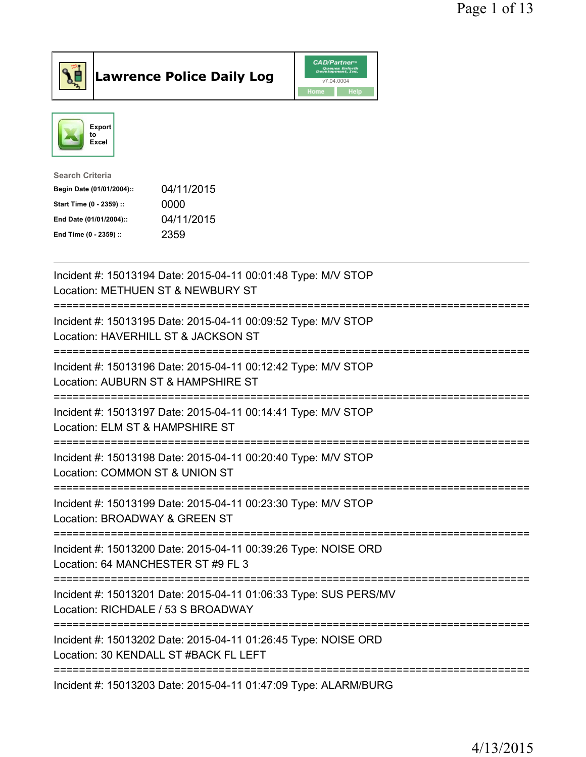

## $\vert$ Lawrence Police Daily Log

|      | <b>CAD/Partner</b> <sup>*</sup><br>Queues Enforth<br>Development, Inc. |
|------|------------------------------------------------------------------------|
|      | v7.04.0004                                                             |
| Home | <b>Help</b>                                                            |



| Search Criteria           |            |
|---------------------------|------------|
| Begin Date (01/01/2004):: | 04/11/2015 |
| Start Time (0 - 2359) ::  | 0000       |
| End Date (01/01/2004)::   | 04/11/2015 |
| End Time (0 - 2359) ::    | 2359       |
|                           |            |

| Incident #: 15013194 Date: 2015-04-11 00:01:48 Type: M/V STOP<br>Location: METHUEN ST & NEWBURY ST                                         |
|--------------------------------------------------------------------------------------------------------------------------------------------|
| Incident #: 15013195 Date: 2015-04-11 00:09:52 Type: M/V STOP<br>Location: HAVERHILL ST & JACKSON ST                                       |
| Incident #: 15013196 Date: 2015-04-11 00:12:42 Type: M/V STOP<br>Location: AUBURN ST & HAMPSHIRE ST                                        |
| Incident #: 15013197 Date: 2015-04-11 00:14:41 Type: M/V STOP<br>Location: ELM ST & HAMPSHIRE ST<br>-----------                            |
| Incident #: 15013198 Date: 2015-04-11 00:20:40 Type: M/V STOP<br>Location: COMMON ST & UNION ST                                            |
| Incident #: 15013199 Date: 2015-04-11 00:23:30 Type: M/V STOP<br>Location: BROADWAY & GREEN ST                                             |
| Incident #: 15013200 Date: 2015-04-11 00:39:26 Type: NOISE ORD<br>Location: 64 MANCHESTER ST #9 FL 3<br>=============================      |
| Incident #: 15013201 Date: 2015-04-11 01:06:33 Type: SUS PERS/MV<br>Location: RICHDALE / 53 S BROADWAY<br>:=============================== |
| Incident #: 15013202 Date: 2015-04-11 01:26:45 Type: NOISE ORD<br>Location: 30 KENDALL ST #BACK FL LEFT                                    |
| ----------------------------<br>Incident #: 15013203 Date: 2015-04-11 01:47:09 Type: ALARM/BURG                                            |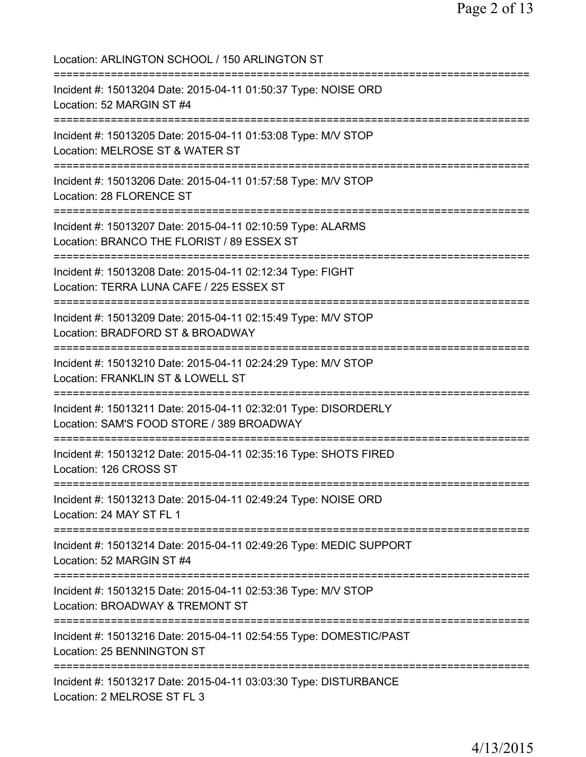Location: ARLINGTON SCHOOL / 150 ARLINGTON ST =========================================================================== Incident #: 15013204 Date: 2015-04-11 01:50:37 Type: NOISE ORD Location: 52 MARGIN ST #4 =========================================================================== Incident #: 15013205 Date: 2015-04-11 01:53:08 Type: M/V STOP Location: MELROSE ST & WATER ST =========================================================================== Incident #: 15013206 Date: 2015-04-11 01:57:58 Type: M/V STOP Location: 28 FLORENCE ST =========================================================================== Incident #: 15013207 Date: 2015-04-11 02:10:59 Type: ALARMS Location: BRANCO THE FLORIST / 89 ESSEX ST =========================================================================== Incident #: 15013208 Date: 2015-04-11 02:12:34 Type: FIGHT Location: TERRA LUNA CAFE / 225 ESSEX ST =========================================================================== Incident #: 15013209 Date: 2015-04-11 02:15:49 Type: M/V STOP Location: BRADFORD ST & BROADWAY =========================================================================== Incident #: 15013210 Date: 2015-04-11 02:24:29 Type: M/V STOP Location: FRANKLIN ST & LOWELL ST =========================================================================== Incident #: 15013211 Date: 2015-04-11 02:32:01 Type: DISORDERLY Location: SAM'S FOOD STORE / 389 BROADWAY =========================================================================== Incident #: 15013212 Date: 2015-04-11 02:35:16 Type: SHOTS FIRED Location: 126 CROSS ST =========================================================================== Incident #: 15013213 Date: 2015-04-11 02:49:24 Type: NOISE ORD Location: 24 MAY ST FL 1 =========================================================================== Incident #: 15013214 Date: 2015-04-11 02:49:26 Type: MEDIC SUPPORT Location: 52 MARGIN ST #4 =========================================================================== Incident #: 15013215 Date: 2015-04-11 02:53:36 Type: M/V STOP Location: BROADWAY & TREMONT ST =========================================================================== Incident #: 15013216 Date: 2015-04-11 02:54:55 Type: DOMESTIC/PAST Location: 25 BENNINGTON ST =========================================================================== Incident #: 15013217 Date: 2015-04-11 03:03:30 Type: DISTURBANCE Location: 2 MELROSE ST FL 3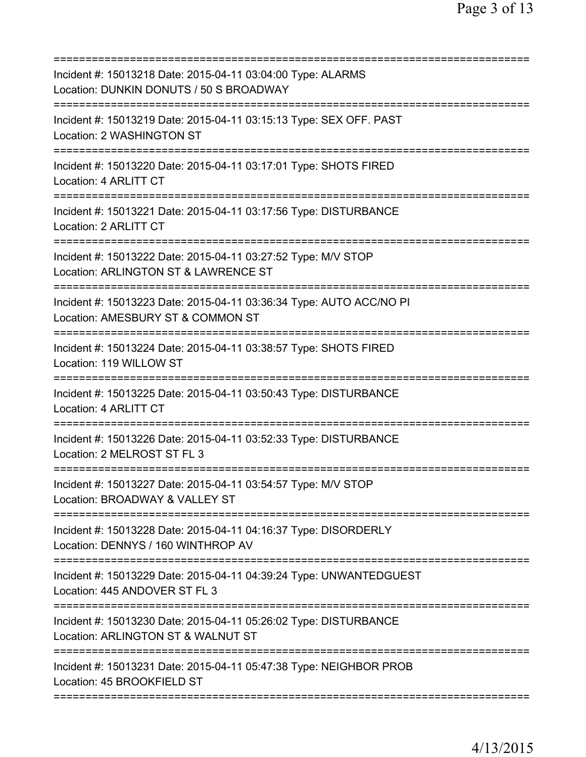| Incident #: 15013218 Date: 2015-04-11 03:04:00 Type: ALARMS<br>Location: DUNKIN DONUTS / 50 S BROADWAY                                 |
|----------------------------------------------------------------------------------------------------------------------------------------|
| Incident #: 15013219 Date: 2015-04-11 03:15:13 Type: SEX OFF. PAST<br>Location: 2 WASHINGTON ST                                        |
| Incident #: 15013220 Date: 2015-04-11 03:17:01 Type: SHOTS FIRED<br>Location: 4 ARLITT CT                                              |
| Incident #: 15013221 Date: 2015-04-11 03:17:56 Type: DISTURBANCE<br>Location: 2 ARLITT CT<br>-----------------------                   |
| Incident #: 15013222 Date: 2015-04-11 03:27:52 Type: M/V STOP<br>Location: ARLINGTON ST & LAWRENCE ST                                  |
| Incident #: 15013223 Date: 2015-04-11 03:36:34 Type: AUTO ACC/NO PI<br>Location: AMESBURY ST & COMMON ST                               |
| Incident #: 15013224 Date: 2015-04-11 03:38:57 Type: SHOTS FIRED<br>Location: 119 WILLOW ST                                            |
| Incident #: 15013225 Date: 2015-04-11 03:50:43 Type: DISTURBANCE<br>Location: 4 ARLITT CT                                              |
| Incident #: 15013226 Date: 2015-04-11 03:52:33 Type: DISTURBANCE<br>Location: 2 MELROST ST FL 3                                        |
| Incident #: 15013227 Date: 2015-04-11 03:54:57 Type: M/V STOP<br>Location: BROADWAY & VALLEY ST                                        |
| ===========================<br>Incident #: 15013228 Date: 2015-04-11 04:16:37 Type: DISORDERLY<br>Location: DENNYS / 160 WINTHROP AV   |
| ===============================<br>Incident #: 15013229 Date: 2015-04-11 04:39:24 Type: UNWANTEDGUEST<br>Location: 445 ANDOVER ST FL 3 |
| Incident #: 15013230 Date: 2015-04-11 05:26:02 Type: DISTURBANCE<br>Location: ARLINGTON ST & WALNUT ST                                 |
| Incident #: 15013231 Date: 2015-04-11 05:47:38 Type: NEIGHBOR PROB<br>Location: 45 BROOKFIELD ST                                       |
|                                                                                                                                        |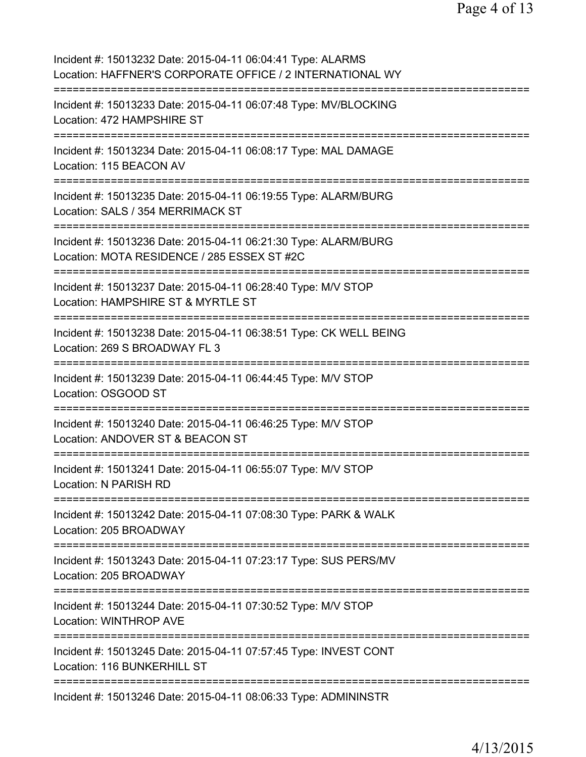Page 4 of 13

| Incident #: 15013232 Date: 2015-04-11 06:04:41 Type: ALARMS<br>Location: HAFFNER'S CORPORATE OFFICE / 2 INTERNATIONAL WY                                        |
|-----------------------------------------------------------------------------------------------------------------------------------------------------------------|
| Incident #: 15013233 Date: 2015-04-11 06:07:48 Type: MV/BLOCKING<br>Location: 472 HAMPSHIRE ST                                                                  |
| Incident #: 15013234 Date: 2015-04-11 06:08:17 Type: MAL DAMAGE<br>Location: 115 BEACON AV                                                                      |
| Incident #: 15013235 Date: 2015-04-11 06:19:55 Type: ALARM/BURG<br>Location: SALS / 354 MERRIMACK ST                                                            |
| Incident #: 15013236 Date: 2015-04-11 06:21:30 Type: ALARM/BURG<br>Location: MOTA RESIDENCE / 285 ESSEX ST #2C                                                  |
| Incident #: 15013237 Date: 2015-04-11 06:28:40 Type: M/V STOP<br>Location: HAMPSHIRE ST & MYRTLE ST                                                             |
| Incident #: 15013238 Date: 2015-04-11 06:38:51 Type: CK WELL BEING<br>Location: 269 S BROADWAY FL 3                                                             |
| ============<br>Incident #: 15013239 Date: 2015-04-11 06:44:45 Type: M/V STOP<br>Location: OSGOOD ST                                                            |
| Incident #: 15013240 Date: 2015-04-11 06:46:25 Type: M/V STOP<br>Location: ANDOVER ST & BEACON ST                                                               |
| Incident #: 15013241 Date: 2015-04-11 06:55:07 Type: M/V STOP<br><b>Location: N PARISH RD</b>                                                                   |
| =================================<br>============================<br>Incident #: 15013242 Date: 2015-04-11 07:08:30 Type: PARK & WALK<br>Location: 205 BROADWAY |
| Incident #: 15013243 Date: 2015-04-11 07:23:17 Type: SUS PERS/MV<br>Location: 205 BROADWAY                                                                      |
| Incident #: 15013244 Date: 2015-04-11 07:30:52 Type: M/V STOP<br><b>Location: WINTHROP AVE</b>                                                                  |
| Incident #: 15013245 Date: 2015-04-11 07:57:45 Type: INVEST CONT<br>Location: 116 BUNKERHILL ST                                                                 |
| Incident #: 15013246 Date: 2015-04-11 08:06:33 Type: ADMININSTR                                                                                                 |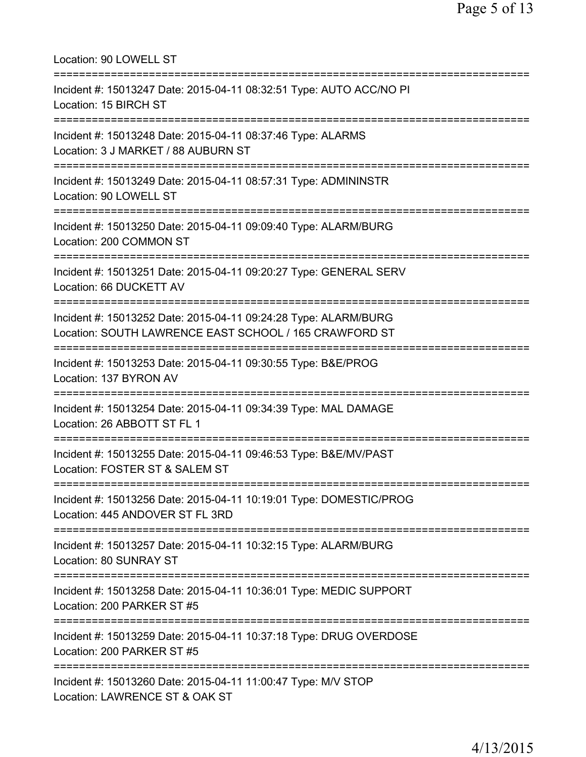| Location: 90 LOWELL ST<br>======================================                                                                  |
|-----------------------------------------------------------------------------------------------------------------------------------|
| Incident #: 15013247 Date: 2015-04-11 08:32:51 Type: AUTO ACC/NO PI<br>Location: 15 BIRCH ST                                      |
| Incident #: 15013248 Date: 2015-04-11 08:37:46 Type: ALARMS<br>Location: 3 J MARKET / 88 AUBURN ST<br>:========================== |
| Incident #: 15013249 Date: 2015-04-11 08:57:31 Type: ADMININSTR<br>Location: 90 LOWELL ST<br>=========================            |
| Incident #: 15013250 Date: 2015-04-11 09:09:40 Type: ALARM/BURG<br>Location: 200 COMMON ST                                        |
| Incident #: 15013251 Date: 2015-04-11 09:20:27 Type: GENERAL SERV<br>Location: 66 DUCKETT AV                                      |
| Incident #: 15013252 Date: 2015-04-11 09:24:28 Type: ALARM/BURG<br>Location: SOUTH LAWRENCE EAST SCHOOL / 165 CRAWFORD ST         |
| Incident #: 15013253 Date: 2015-04-11 09:30:55 Type: B&E/PROG<br>Location: 137 BYRON AV                                           |
| Incident #: 15013254 Date: 2015-04-11 09:34:39 Type: MAL DAMAGE<br>Location: 26 ABBOTT ST FL 1                                    |
| Incident #: 15013255 Date: 2015-04-11 09:46:53 Type: B&E/MV/PAST<br>Location: FOSTER ST & SALEM ST                                |
| Incident #: 15013256 Date: 2015-04-11 10:19:01 Type: DOMESTIC/PROG<br>Location: 445 ANDOVER ST FL 3RD                             |
| Incident #: 15013257 Date: 2015-04-11 10:32:15 Type: ALARM/BURG<br>Location: 80 SUNRAY ST                                         |
| Incident #: 15013258 Date: 2015-04-11 10:36:01 Type: MEDIC SUPPORT<br>Location: 200 PARKER ST #5                                  |
| Incident #: 15013259 Date: 2015-04-11 10:37:18 Type: DRUG OVERDOSE<br>Location: 200 PARKER ST #5                                  |
| Incident #: 15013260 Date: 2015-04-11 11:00:47 Type: M/V STOP<br>Location: LAWRENCE ST & OAK ST                                   |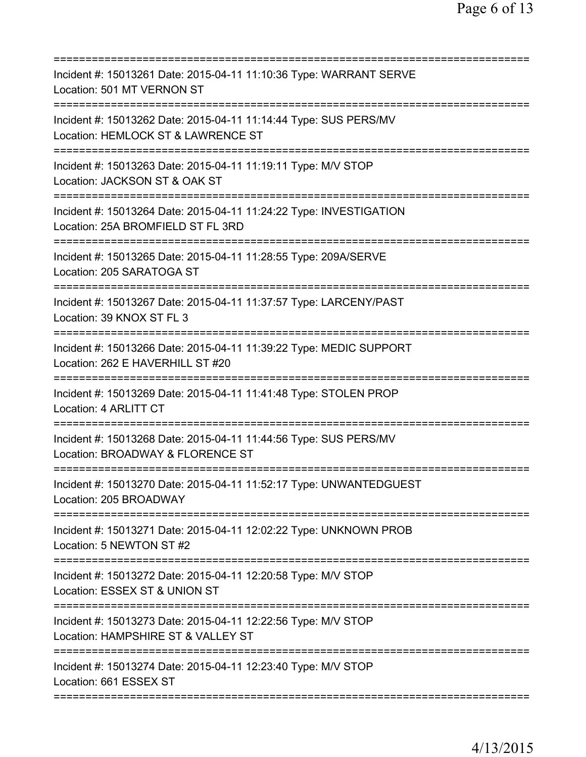| Incident #: 15013261 Date: 2015-04-11 11:10:36 Type: WARRANT SERVE<br>Location: 501 MT VERNON ST                             |
|------------------------------------------------------------------------------------------------------------------------------|
| Incident #: 15013262 Date: 2015-04-11 11:14:44 Type: SUS PERS/MV<br>Location: HEMLOCK ST & LAWRENCE ST                       |
| Incident #: 15013263 Date: 2015-04-11 11:19:11 Type: M/V STOP<br>Location: JACKSON ST & OAK ST<br>========================== |
| Incident #: 15013264 Date: 2015-04-11 11:24:22 Type: INVESTIGATION<br>Location: 25A BROMFIELD ST FL 3RD                      |
| Incident #: 15013265 Date: 2015-04-11 11:28:55 Type: 209A/SERVE<br>Location: 205 SARATOGA ST                                 |
| Incident #: 15013267 Date: 2015-04-11 11:37:57 Type: LARCENY/PAST<br>Location: 39 KNOX ST FL 3                               |
| Incident #: 15013266 Date: 2015-04-11 11:39:22 Type: MEDIC SUPPORT<br>Location: 262 E HAVERHILL ST #20<br>=========          |
| Incident #: 15013269 Date: 2015-04-11 11:41:48 Type: STOLEN PROP<br>Location: 4 ARLITT CT                                    |
| Incident #: 15013268 Date: 2015-04-11 11:44:56 Type: SUS PERS/MV<br>Location: BROADWAY & FLORENCE ST                         |
| Incident #: 15013270 Date: 2015-04-11 11:52:17 Type: UNWANTEDGUEST<br>Location: 205 BROADWAY                                 |
| Incident #: 15013271 Date: 2015-04-11 12:02:22 Type: UNKNOWN PROB<br>Location: 5 NEWTON ST #2                                |
| Incident #: 15013272 Date: 2015-04-11 12:20:58 Type: M/V STOP<br>Location: ESSEX ST & UNION ST                               |
| Incident #: 15013273 Date: 2015-04-11 12:22:56 Type: M/V STOP<br>Location: HAMPSHIRE ST & VALLEY ST                          |
| Incident #: 15013274 Date: 2015-04-11 12:23:40 Type: M/V STOP<br>Location: 661 ESSEX ST                                      |
|                                                                                                                              |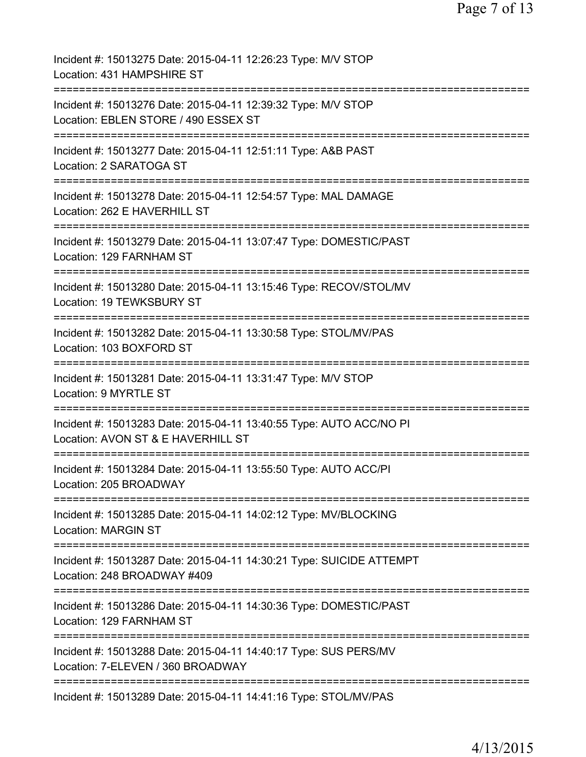| Incident #: 15013275 Date: 2015-04-11 12:26:23 Type: M/V STOP<br>Location: 431 HAMPSHIRE ST                                     |
|---------------------------------------------------------------------------------------------------------------------------------|
| Incident #: 15013276 Date: 2015-04-11 12:39:32 Type: M/V STOP<br>Location: EBLEN STORE / 490 ESSEX ST                           |
| Incident #: 15013277 Date: 2015-04-11 12:51:11 Type: A&B PAST<br>Location: 2 SARATOGA ST                                        |
| Incident #: 15013278 Date: 2015-04-11 12:54:57 Type: MAL DAMAGE<br>Location: 262 E HAVERHILL ST                                 |
| Incident #: 15013279 Date: 2015-04-11 13:07:47 Type: DOMESTIC/PAST<br>Location: 129 FARNHAM ST                                  |
| Incident #: 15013280 Date: 2015-04-11 13:15:46 Type: RECOV/STOL/MV<br>Location: 19 TEWKSBURY ST                                 |
| Incident #: 15013282 Date: 2015-04-11 13:30:58 Type: STOL/MV/PAS<br>Location: 103 BOXFORD ST                                    |
| Incident #: 15013281 Date: 2015-04-11 13:31:47 Type: M/V STOP<br>Location: 9 MYRTLE ST                                          |
| ================<br>Incident #: 15013283 Date: 2015-04-11 13:40:55 Type: AUTO ACC/NO PI<br>Location: AVON ST & E HAVERHILL ST   |
| Incident #: 15013284 Date: 2015-04-11 13:55:50 Type: AUTO ACC/PI<br>Location: 205 BROADWAY                                      |
| =============================<br>Incident #: 15013285 Date: 2015-04-11 14:02:12 Type: MV/BLOCKING<br><b>Location: MARGIN ST</b> |
| Incident #: 15013287 Date: 2015-04-11 14:30:21 Type: SUICIDE ATTEMPT<br>Location: 248 BROADWAY #409                             |
| Incident #: 15013286 Date: 2015-04-11 14:30:36 Type: DOMESTIC/PAST<br>Location: 129 FARNHAM ST                                  |
| Incident #: 15013288 Date: 2015-04-11 14:40:17 Type: SUS PERS/MV<br>Location: 7-ELEVEN / 360 BROADWAY                           |
| Incident #: 15013289 Date: 2015-04-11 14:41:16 Type: STOL/MV/PAS                                                                |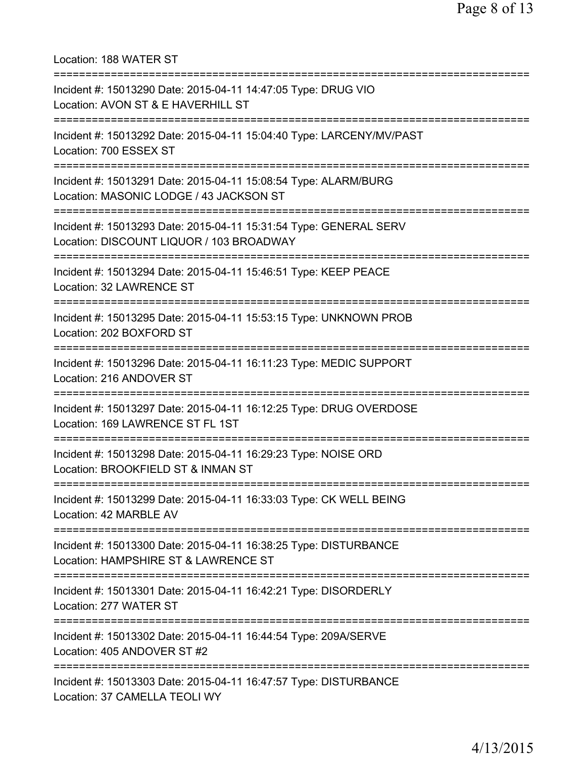Location: 188 WATER ST =========================================================================== Incident #: 15013290 Date: 2015-04-11 14:47:05 Type: DRUG VIO Location: AVON ST & E HAVERHILL ST =========================================================================== Incident #: 15013292 Date: 2015-04-11 15:04:40 Type: LARCENY/MV/PAST Location: 700 ESSEX ST =========================================================================== Incident #: 15013291 Date: 2015-04-11 15:08:54 Type: ALARM/BURG Location: MASONIC LODGE / 43 JACKSON ST =========================================================================== Incident #: 15013293 Date: 2015-04-11 15:31:54 Type: GENERAL SERV Location: DISCOUNT LIQUOR / 103 BROADWAY =========================================================================== Incident #: 15013294 Date: 2015-04-11 15:46:51 Type: KEEP PEACE Location: 32 LAWRENCE ST =========================================================================== Incident #: 15013295 Date: 2015-04-11 15:53:15 Type: UNKNOWN PROB Location: 202 BOXFORD ST =========================================================================== Incident #: 15013296 Date: 2015-04-11 16:11:23 Type: MEDIC SUPPORT Location: 216 ANDOVER ST =========================================================================== Incident #: 15013297 Date: 2015-04-11 16:12:25 Type: DRUG OVERDOSE Location: 169 LAWRENCE ST FL 1ST =========================================================================== Incident #: 15013298 Date: 2015-04-11 16:29:23 Type: NOISE ORD Location: BROOKFIELD ST & INMAN ST =========================================================================== Incident #: 15013299 Date: 2015-04-11 16:33:03 Type: CK WELL BEING Location: 42 MARBLE AV =========================================================================== Incident #: 15013300 Date: 2015-04-11 16:38:25 Type: DISTURBANCE Location: HAMPSHIRE ST & LAWRENCE ST =========================================================================== Incident #: 15013301 Date: 2015-04-11 16:42:21 Type: DISORDERLY Location: 277 WATER ST =========================================================================== Incident #: 15013302 Date: 2015-04-11 16:44:54 Type: 209A/SERVE Location: 405 ANDOVER ST #2 =========================================================================== Incident #: 15013303 Date: 2015-04-11 16:47:57 Type: DISTURBANCE Location: 37 CAMELLA TEOLI WY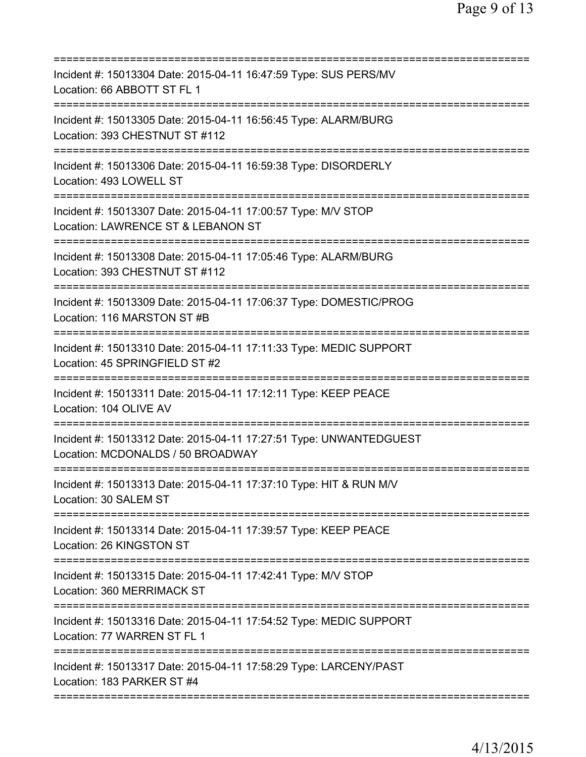| Incident #: 15013304 Date: 2015-04-11 16:47:59 Type: SUS PERS/MV<br>Location: 66 ABBOTT ST FL 1                                      |
|--------------------------------------------------------------------------------------------------------------------------------------|
| Incident #: 15013305 Date: 2015-04-11 16:56:45 Type: ALARM/BURG<br>Location: 393 CHESTNUT ST #112                                    |
| Incident #: 15013306 Date: 2015-04-11 16:59:38 Type: DISORDERLY<br>Location: 493 LOWELL ST                                           |
| Incident #: 15013307 Date: 2015-04-11 17:00:57 Type: M/V STOP<br>Location: LAWRENCE ST & LEBANON ST<br>============================= |
| Incident #: 15013308 Date: 2015-04-11 17:05:46 Type: ALARM/BURG<br>Location: 393 CHESTNUT ST #112                                    |
| Incident #: 15013309 Date: 2015-04-11 17:06:37 Type: DOMESTIC/PROG<br>Location: 116 MARSTON ST #B                                    |
| Incident #: 15013310 Date: 2015-04-11 17:11:33 Type: MEDIC SUPPORT<br>Location: 45 SPRINGFIELD ST #2                                 |
| Incident #: 15013311 Date: 2015-04-11 17:12:11 Type: KEEP PEACE<br>Location: 104 OLIVE AV                                            |
| Incident #: 15013312 Date: 2015-04-11 17:27:51 Type: UNWANTEDGUEST<br>Location: MCDONALDS / 50 BROADWAY                              |
| Incident #: 15013313 Date: 2015-04-11 17:37:10 Type: HIT & RUN M/V<br>Location: 30 SALEM ST                                          |
| Incident #: 15013314 Date: 2015-04-11 17:39:57 Type: KEEP PEACE<br>Location: 26 KINGSTON ST                                          |
| Incident #: 15013315 Date: 2015-04-11 17:42:41 Type: M/V STOP<br>Location: 360 MERRIMACK ST                                          |
| Incident #: 15013316 Date: 2015-04-11 17:54:52 Type: MEDIC SUPPORT<br>Location: 77 WARREN ST FL 1                                    |
| Incident #: 15013317 Date: 2015-04-11 17:58:29 Type: LARCENY/PAST<br>Location: 183 PARKER ST #4                                      |
|                                                                                                                                      |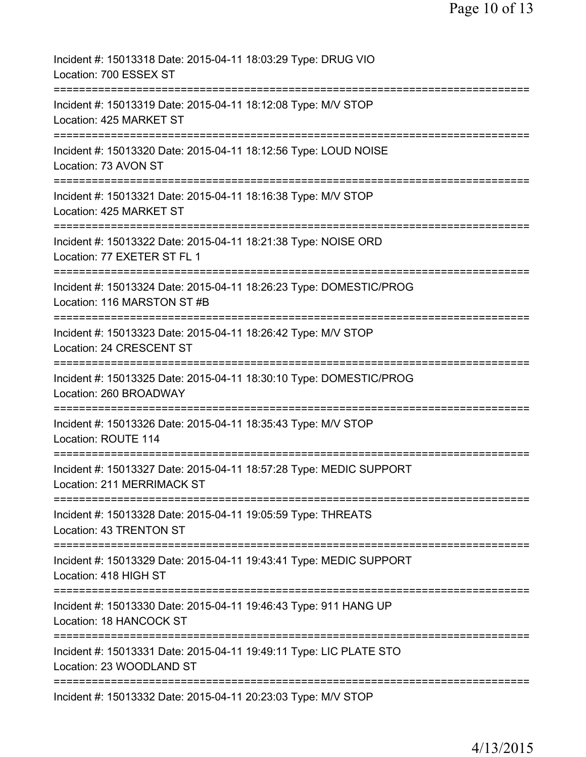| Incident #: 15013318 Date: 2015-04-11 18:03:29 Type: DRUG VIO<br>Location: 700 ESSEX ST                                                |
|----------------------------------------------------------------------------------------------------------------------------------------|
| Incident #: 15013319 Date: 2015-04-11 18:12:08 Type: M/V STOP<br>Location: 425 MARKET ST                                               |
| Incident #: 15013320 Date: 2015-04-11 18:12:56 Type: LOUD NOISE<br>Location: 73 AVON ST                                                |
| Incident #: 15013321 Date: 2015-04-11 18:16:38 Type: M/V STOP<br>Location: 425 MARKET ST                                               |
| Incident #: 15013322 Date: 2015-04-11 18:21:38 Type: NOISE ORD<br>Location: 77 EXETER ST FL 1                                          |
| Incident #: 15013324 Date: 2015-04-11 18:26:23 Type: DOMESTIC/PROG<br>Location: 116 MARSTON ST #B                                      |
| Incident #: 15013323 Date: 2015-04-11 18:26:42 Type: M/V STOP<br>Location: 24 CRESCENT ST                                              |
| Incident #: 15013325 Date: 2015-04-11 18:30:10 Type: DOMESTIC/PROG<br>Location: 260 BROADWAY                                           |
| Incident #: 15013326 Date: 2015-04-11 18:35:43 Type: M/V STOP<br>Location: ROUTE 114                                                   |
| ==================================<br>Incident #: 15013327 Date: 2015-04-11 18:57:28 Type: MEDIC SUPPORT<br>Location: 211 MERRIMACK ST |
| Incident #: 15013328 Date: 2015-04-11 19:05:59 Type: THREATS<br>Location: 43 TRENTON ST                                                |
| Incident #: 15013329 Date: 2015-04-11 19:43:41 Type: MEDIC SUPPORT<br>Location: 418 HIGH ST                                            |
| Incident #: 15013330 Date: 2015-04-11 19:46:43 Type: 911 HANG UP<br><b>Location: 18 HANCOCK ST</b>                                     |
| Incident #: 15013331 Date: 2015-04-11 19:49:11 Type: LIC PLATE STO<br>Location: 23 WOODLAND ST                                         |
| Incident #: 15013332 Date: 2015-04-11 20:23:03 Type: M/V STOP                                                                          |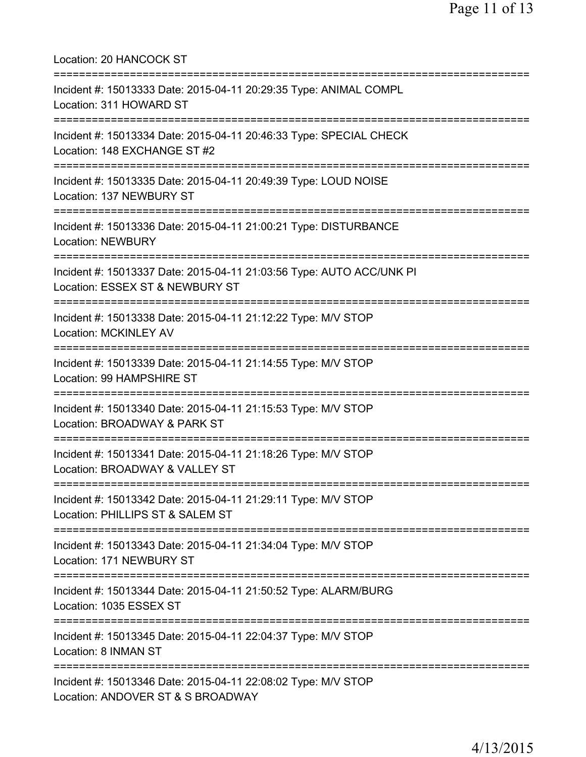| Location: 20 HANCOCK ST                                                                                                    |
|----------------------------------------------------------------------------------------------------------------------------|
| Incident #: 15013333 Date: 2015-04-11 20:29:35 Type: ANIMAL COMPL<br>Location: 311 HOWARD ST<br>========================== |
| Incident #: 15013334 Date: 2015-04-11 20:46:33 Type: SPECIAL CHECK<br>Location: 148 EXCHANGE ST #2                         |
| Incident #: 15013335 Date: 2015-04-11 20:49:39 Type: LOUD NOISE<br>Location: 137 NEWBURY ST<br>=====================       |
| Incident #: 15013336 Date: 2015-04-11 21:00:21 Type: DISTURBANCE<br><b>Location: NEWBURY</b>                               |
| Incident #: 15013337 Date: 2015-04-11 21:03:56 Type: AUTO ACC/UNK PI<br>Location: ESSEX ST & NEWBURY ST                    |
| Incident #: 15013338 Date: 2015-04-11 21:12:22 Type: M/V STOP<br><b>Location: MCKINLEY AV</b><br>========================  |
| Incident #: 15013339 Date: 2015-04-11 21:14:55 Type: M/V STOP<br>Location: 99 HAMPSHIRE ST                                 |
| Incident #: 15013340 Date: 2015-04-11 21:15:53 Type: M/V STOP<br>Location: BROADWAY & PARK ST                              |
| Incident #: 15013341 Date: 2015-04-11 21:18:26 Type: M/V STOP<br>Location: BROADWAY & VALLEY ST                            |
| Incident #: 15013342 Date: 2015-04-11 21:29:11 Type: M/V STOP<br>Location: PHILLIPS ST & SALEM ST                          |
| Incident #: 15013343 Date: 2015-04-11 21:34:04 Type: M/V STOP<br>Location: 171 NEWBURY ST                                  |
| Incident #: 15013344 Date: 2015-04-11 21:50:52 Type: ALARM/BURG<br>Location: 1035 ESSEX ST                                 |
| Incident #: 15013345 Date: 2015-04-11 22:04:37 Type: M/V STOP<br>Location: 8 INMAN ST                                      |
| Incident #: 15013346 Date: 2015-04-11 22:08:02 Type: M/V STOP<br>Location: ANDOVER ST & S BROADWAY                         |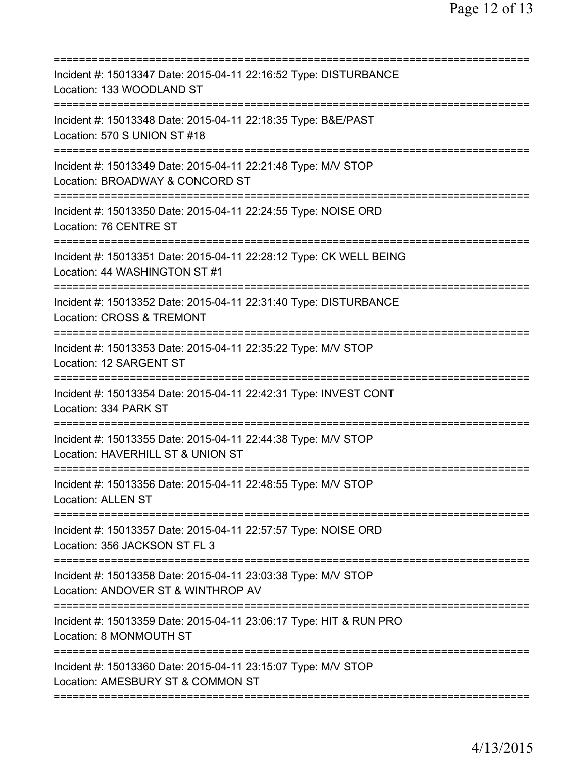| Incident #: 15013347 Date: 2015-04-11 22:16:52 Type: DISTURBANCE<br>Location: 133 WOODLAND ST                                                 |
|-----------------------------------------------------------------------------------------------------------------------------------------------|
| Incident #: 15013348 Date: 2015-04-11 22:18:35 Type: B&E/PAST<br>Location: 570 S UNION ST #18                                                 |
| Incident #: 15013349 Date: 2015-04-11 22:21:48 Type: M/V STOP<br>Location: BROADWAY & CONCORD ST                                              |
| Incident #: 15013350 Date: 2015-04-11 22:24:55 Type: NOISE ORD<br>Location: 76 CENTRE ST                                                      |
| Incident #: 15013351 Date: 2015-04-11 22:28:12 Type: CK WELL BEING<br>Location: 44 WASHINGTON ST #1                                           |
| ============================<br>:===========<br>Incident #: 15013352 Date: 2015-04-11 22:31:40 Type: DISTURBANCE<br>Location: CROSS & TREMONT |
| Incident #: 15013353 Date: 2015-04-11 22:35:22 Type: M/V STOP<br>Location: 12 SARGENT ST<br>=====================                             |
| Incident #: 15013354 Date: 2015-04-11 22:42:31 Type: INVEST CONT<br>Location: 334 PARK ST                                                     |
| Incident #: 15013355 Date: 2015-04-11 22:44:38 Type: M/V STOP<br>Location: HAVERHILL ST & UNION ST                                            |
| Incident #: 15013356 Date: 2015-04-11 22:48:55 Type: M/V STOP<br><b>Location: ALLEN ST</b>                                                    |
| Incident #: 15013357 Date: 2015-04-11 22:57:57 Type: NOISE ORD<br>Location: 356 JACKSON ST FL 3                                               |
| Incident #: 15013358 Date: 2015-04-11 23:03:38 Type: M/V STOP<br>Location: ANDOVER ST & WINTHROP AV                                           |
| Incident #: 15013359 Date: 2015-04-11 23:06:17 Type: HIT & RUN PRO<br>Location: 8 MONMOUTH ST                                                 |
| Incident #: 15013360 Date: 2015-04-11 23:15:07 Type: M/V STOP<br>Location: AMESBURY ST & COMMON ST                                            |
|                                                                                                                                               |